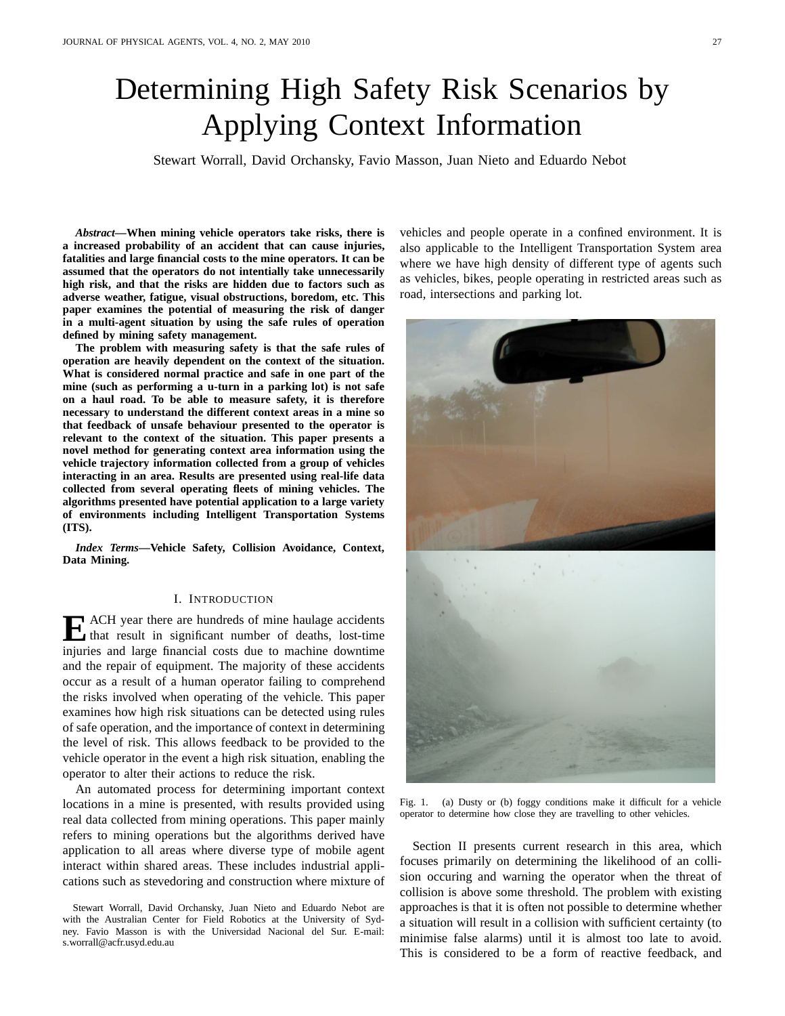# Determining High Safety Risk Scenarios by Applying Context Information

Stewart Worrall, David Orchansky, Favio Masson, Juan Nieto and Eduardo Nebot

*Abstract***—When mining vehicle operators take risks, there is a increased probability of an accident that can cause injuries, fatalities and large financial costs to the mine operators. It can be assumed that the operators do not intentially take unnecessarily high risk, and that the risks are hidden due to factors such as adverse weather, fatigue, visual obstructions, boredom, etc. This paper examines the potential of measuring the risk of danger in a multi-agent situation by using the safe rules of operation defined by mining safety management.**

**The problem with measuring safety is that the safe rules of operation are heavily dependent on the context of the situation. What is considered normal practice and safe in one part of the mine (such as performing a u-turn in a parking lot) is not safe on a haul road. To be able to measure safety, it is therefore necessary to understand the different context areas in a mine so that feedback of unsafe behaviour presented to the operator is relevant to the context of the situation. This paper presents a novel method for generating context area information using the vehicle trajectory information collected from a group of vehicles interacting in an area. Results are presented using real-life data collected from several operating fleets of mining vehicles. The algorithms presented have potential application to a large variety of environments including Intelligent Transportation Systems (ITS).**

*Index Terms***—Vehicle Safety, Collision Avoidance, Context, Data Mining.**

#### I. INTRODUCTION

**E** ACH year there are hundreds of mine haulage accidents that result in significant number of deaths, lost-time injuries and large financial costs due to machine downtime and the repair of equipment. The majority of these accidents occur as a result of a human operator failing to comprehend the risks involved when operating of the vehicle. This paper examines how high risk situations can be detected using rules of safe operation, and the importance of context in determining the level of risk. This allows feedback to be provided to the vehicle operator in the event a high risk situation, enabling the operator to alter their actions to reduce the risk.

An automated process for determining important context locations in a mine is presented, with results provided using real data collected from mining operations. This paper mainly refers to mining operations but the algorithms derived have application to all areas where diverse type of mobile agent interact within shared areas. These includes industrial applications such as stevedoring and construction where mixture of

Stewart Worrall, David Orchansky, Juan Nieto and Eduardo Nebot are with the Australian Center for Field Robotics at the University of Sydney. Favio Masson is with the Universidad Nacional del Sur. E-mail: s.worrall@acfr.usyd.edu.au

vehicles and people operate in a confined environment. It is also applicable to the Intelligent Transportation System area where we have high density of different type of agents such as vehicles, bikes, people operating in restricted areas such as road, intersections and parking lot.



Fig. 1. (a) Dusty or (b) foggy conditions make it difficult for a vehicle operator to determine how close they are travelling to other vehicles.

Section II presents current research in this area, which focuses primarily on determining the likelihood of an collision occuring and warning the operator when the threat of collision is above some threshold. The problem with existing approaches is that it is often not possible to determine whether a situation will result in a collision with sufficient certainty (to minimise false alarms) until it is almost too late to avoid. This is considered to be a form of reactive feedback, and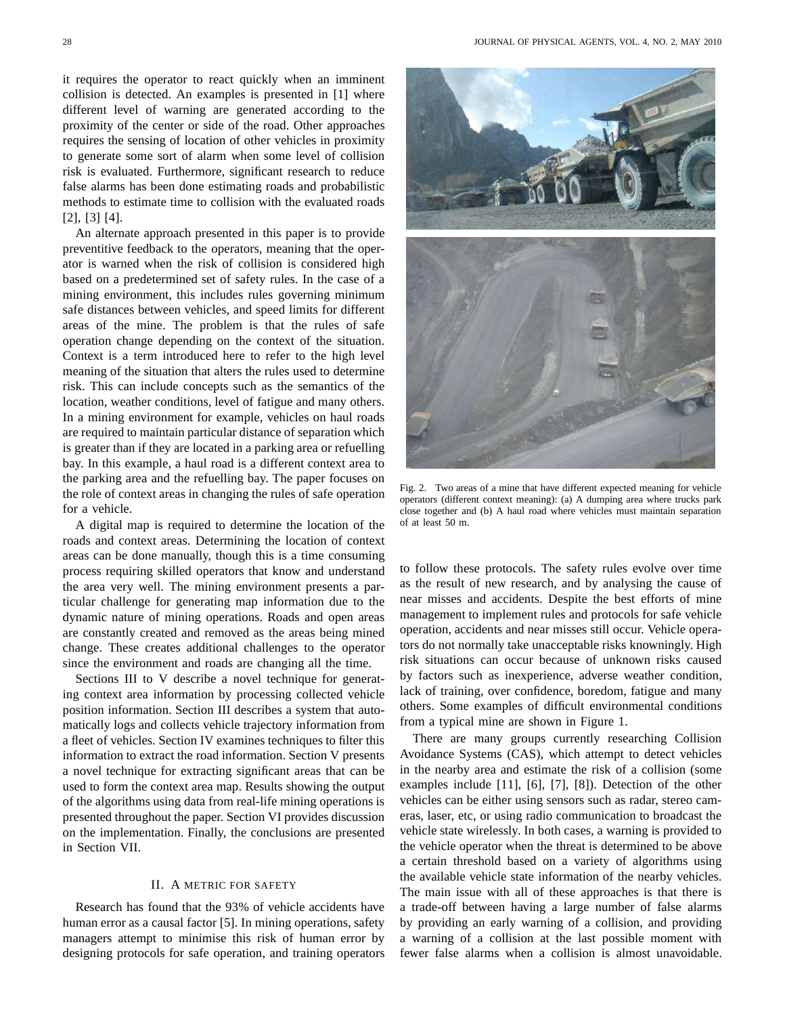it requires the operator to react quickly when an imminent collision is detected. An examples is presented in [1] where different level of warning are generated according to the proximity of the center or side of the road. Other approaches requires the sensing of location of other vehicles in proximity to generate some sort of alarm when some level of collision risk is evaluated. Furthermore, significant research to reduce false alarms has been done estimating roads and probabilistic methods to estimate time to collision with the evaluated roads [2], [3] [4].

An alternate approach presented in this paper is to provide preventitive feedback to the operators, meaning that the operator is warned when the risk of collision is considered high based on a predetermined set of safety rules. In the case of a mining environment, this includes rules governing minimum safe distances between vehicles, and speed limits for different areas of the mine. The problem is that the rules of safe operation change depending on the context of the situation. Context is a term introduced here to refer to the high level meaning of the situation that alters the rules used to determine risk. This can include concepts such as the semantics of the location, weather conditions, level of fatigue and many others. In a mining environment for example, vehicles on haul roads are required to maintain particular distance of separation which is greater than if they are located in a parking area or refuelling bay. In this example, a haul road is a different context area to the parking area and the refuelling bay. The paper focuses on the role of context areas in changing the rules of safe operation for a vehicle.

A digital map is required to determine the location of the roads and context areas. Determining the location of context areas can be done manually, though this is a time consuming process requiring skilled operators that know and understand the area very well. The mining environment presents a particular challenge for generating map information due to the dynamic nature of mining operations. Roads and open areas are constantly created and removed as the areas being mined change. These creates additional challenges to the operator since the environment and roads are changing all the time.

Sections III to V describe a novel technique for generating context area information by processing collected vehicle position information. Section III describes a system that automatically logs and collects vehicle trajectory information from a fleet of vehicles. Section IV examines techniques to filter this information to extract the road information. Section V presents a novel technique for extracting significant areas that can be used to form the context area map. Results showing the output of the algorithms using data from real-life mining operations is presented throughout the paper. Section VI provides discussion on the implementation. Finally, the conclusions are presented in Section VII.

#### II. A METRIC FOR SAFETY

Research has found that the 93% of vehicle accidents have human error as a causal factor [5]. In mining operations, safety managers attempt to minimise this risk of human error by designing protocols for safe operation, and training operators



Fig. 2. Two areas of a mine that have different expected meaning for vehicle operators (different context meaning): (a) A dumping area where trucks park close together and (b) A haul road where vehicles must maintain separation of at least 50 m.

to follow these protocols. The safety rules evolve over time as the result of new research, and by analysing the cause of near misses and accidents. Despite the best efforts of mine management to implement rules and protocols for safe vehicle operation, accidents and near misses still occur. Vehicle operators do not normally take unacceptable risks knowningly. High risk situations can occur because of unknown risks caused by factors such as inexperience, adverse weather condition, lack of training, over confidence, boredom, fatigue and many others. Some examples of difficult environmental conditions from a typical mine are shown in Figure 1.

There are many groups currently researching Collision Avoidance Systems (CAS), which attempt to detect vehicles in the nearby area and estimate the risk of a collision (some examples include [11], [6], [7], [8]). Detection of the other vehicles can be either using sensors such as radar, stereo cameras, laser, etc, or using radio communication to broadcast the vehicle state wirelessly. In both cases, a warning is provided to the vehicle operator when the threat is determined to be above a certain threshold based on a variety of algorithms using the available vehicle state information of the nearby vehicles. The main issue with all of these approaches is that there is a trade-off between having a large number of false alarms by providing an early warning of a collision, and providing a warning of a collision at the last possible moment with fewer false alarms when a collision is almost unavoidable.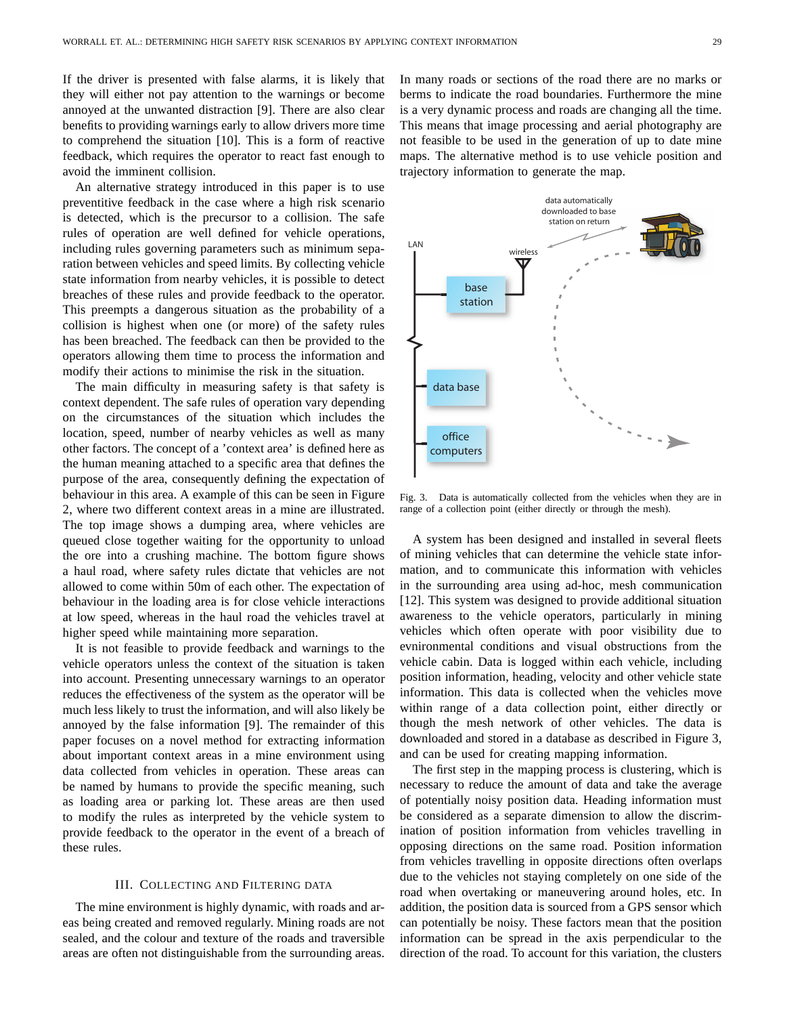If the driver is presented with false alarms, it is likely that they will either not pay attention to the warnings or become annoyed at the unwanted distraction [9]. There are also clear benefits to providing warnings early to allow drivers more time to comprehend the situation [10]. This is a form of reactive feedback, which requires the operator to react fast enough to avoid the imminent collision.

An alternative strategy introduced in this paper is to use preventitive feedback in the case where a high risk scenario is detected, which is the precursor to a collision. The safe rules of operation are well defined for vehicle operations, including rules governing parameters such as minimum separation between vehicles and speed limits. By collecting vehicle state information from nearby vehicles, it is possible to detect breaches of these rules and provide feedback to the operator. This preempts a dangerous situation as the probability of a collision is highest when one (or more) of the safety rules has been breached. The feedback can then be provided to the operators allowing them time to process the information and modify their actions to minimise the risk in the situation.

The main difficulty in measuring safety is that safety is context dependent. The safe rules of operation vary depending on the circumstances of the situation which includes the location, speed, number of nearby vehicles as well as many other factors. The concept of a 'context area' is defined here as the human meaning attached to a specific area that defines the purpose of the area, consequently defining the expectation of behaviour in this area. A example of this can be seen in Figure 2, where two different context areas in a mine are illustrated. The top image shows a dumping area, where vehicles are queued close together waiting for the opportunity to unload the ore into a crushing machine. The bottom figure shows a haul road, where safety rules dictate that vehicles are not allowed to come within 50m of each other. The expectation of behaviour in the loading area is for close vehicle interactions at low speed, whereas in the haul road the vehicles travel at higher speed while maintaining more separation.

It is not feasible to provide feedback and warnings to the vehicle operators unless the context of the situation is taken into account. Presenting unnecessary warnings to an operator reduces the effectiveness of the system as the operator will be much less likely to trust the information, and will also likely be annoyed by the false information [9]. The remainder of this paper focuses on a novel method for extracting information about important context areas in a mine environment using data collected from vehicles in operation. These areas can be named by humans to provide the specific meaning, such as loading area or parking lot. These areas are then used to modify the rules as interpreted by the vehicle system to provide feedback to the operator in the event of a breach of these rules.

#### III. COLLECTING AND FILTERING DATA

The mine environment is highly dynamic, with roads and areas being created and removed regularly. Mining roads are not sealed, and the colour and texture of the roads and traversible areas are often not distinguishable from the surrounding areas. In many roads or sections of the road there are no marks or berms to indicate the road boundaries. Furthermore the mine is a very dynamic process and roads are changing all the time. This means that image processing and aerial photography are not feasible to be used in the generation of up to date mine maps. The alternative method is to use vehicle position and trajectory information to generate the map.



Fig. 3. Data is automatically collected from the vehicles when they are in range of a collection point (either directly or through the mesh).

A system has been designed and installed in several fleets of mining vehicles that can determine the vehicle state information, and to communicate this information with vehicles in the surrounding area using ad-hoc, mesh communication [12]. This system was designed to provide additional situation awareness to the vehicle operators, particularly in mining vehicles which often operate with poor visibility due to evnironmental conditions and visual obstructions from the vehicle cabin. Data is logged within each vehicle, including position information, heading, velocity and other vehicle state information. This data is collected when the vehicles move within range of a data collection point, either directly or though the mesh network of other vehicles. The data is downloaded and stored in a database as described in Figure 3, and can be used for creating mapping information.

The first step in the mapping process is clustering, which is necessary to reduce the amount of data and take the average of potentially noisy position data. Heading information must be considered as a separate dimension to allow the discrimination of position information from vehicles travelling in opposing directions on the same road. Position information from vehicles travelling in opposite directions often overlaps due to the vehicles not staying completely on one side of the road when overtaking or maneuvering around holes, etc. In addition, the position data is sourced from a GPS sensor which can potentially be noisy. These factors mean that the position information can be spread in the axis perpendicular to the direction of the road. To account for this variation, the clusters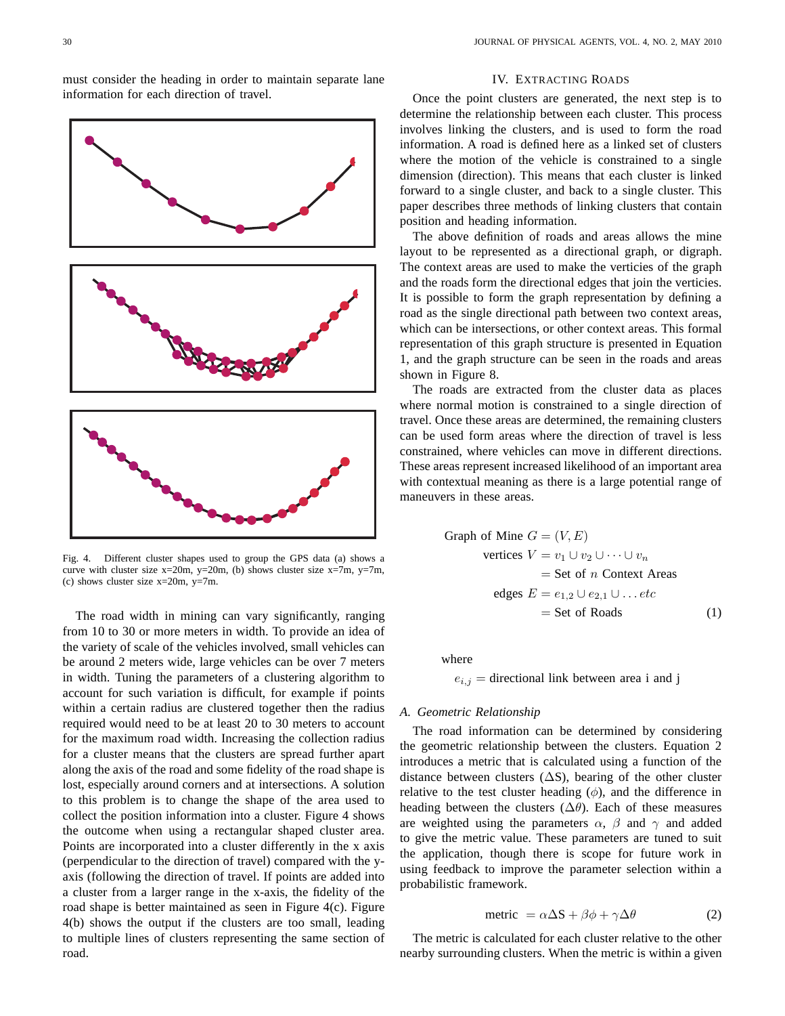must consider the heading in order to maintain separate lane information for each direction of travel.



Fig. 4. Different cluster shapes used to group the GPS data (a) shows a curve with cluster size  $x=20m$ ,  $y=20m$ , (b) shows cluster size  $x=7m$ ,  $y=7m$ , (c) shows cluster size x=20m, y=7m.

The road width in mining can vary significantly, ranging from 10 to 30 or more meters in width. To provide an idea of the variety of scale of the vehicles involved, small vehicles can be around 2 meters wide, large vehicles can be over 7 meters in width. Tuning the parameters of a clustering algorithm to account for such variation is difficult, for example if points within a certain radius are clustered together then the radius required would need to be at least 20 to 30 meters to account for the maximum road width. Increasing the collection radius for a cluster means that the clusters are spread further apart along the axis of the road and some fidelity of the road shape is lost, especially around corners and at intersections. A solution to this problem is to change the shape of the area used to collect the position information into a cluster. Figure 4 shows the outcome when using a rectangular shaped cluster area. Points are incorporated into a cluster differently in the x axis (perpendicular to the direction of travel) compared with the yaxis (following the direction of travel. If points are added into a cluster from a larger range in the x-axis, the fidelity of the road shape is better maintained as seen in Figure 4(c). Figure 4(b) shows the output if the clusters are too small, leading to multiple lines of clusters representing the same section of road.

## IV. EXTRACTING ROADS

Once the point clusters are generated, the next step is to determine the relationship between each cluster. This process involves linking the clusters, and is used to form the road information. A road is defined here as a linked set of clusters where the motion of the vehicle is constrained to a single dimension (direction). This means that each cluster is linked forward to a single cluster, and back to a single cluster. This paper describes three methods of linking clusters that contain position and heading information.

The above definition of roads and areas allows the mine layout to be represented as a directional graph, or digraph. The context areas are used to make the verticies of the graph and the roads form the directional edges that join the verticies. It is possible to form the graph representation by defining a road as the single directional path between two context areas, which can be intersections, or other context areas. This formal representation of this graph structure is presented in Equation 1, and the graph structure can be seen in the roads and areas shown in Figure 8.

The roads are extracted from the cluster data as places where normal motion is constrained to a single direction of travel. Once these areas are determined, the remaining clusters can be used form areas where the direction of travel is less constrained, where vehicles can move in different directions. These areas represent increased likelihood of an important area with contextual meaning as there is a large potential range of maneuvers in these areas.

Graph of Mine 
$$
G = (V, E)
$$
  
vertices  $V = v_1 \cup v_2 \cup \cdots \cup v_n$   
= Set of *n* Context Areas  
edges  $E = e_{1,2} \cup e_{2,1} \cup \ldots etc$   
= Set of Roads (1)

where

 $e_{i,j}$  = directional link between area i and j

#### *A. Geometric Relationship*

The road information can be determined by considering the geometric relationship between the clusters. Equation 2 introduces a metric that is calculated using a function of the distance between clusters  $(\Delta S)$ , bearing of the other cluster relative to the test cluster heading  $(\phi)$ , and the difference in heading between the clusters ( $\Delta\theta$ ). Each of these measures are weighted using the parameters  $\alpha$ ,  $\beta$  and  $\gamma$  and added to give the metric value. These parameters are tuned to suit the application, though there is scope for future work in using feedback to improve the parameter selection within a probabilistic framework.

$$
metric = \alpha \Delta S + \beta \phi + \gamma \Delta \theta \tag{2}
$$

The metric is calculated for each cluster relative to the other nearby surrounding clusters. When the metric is within a given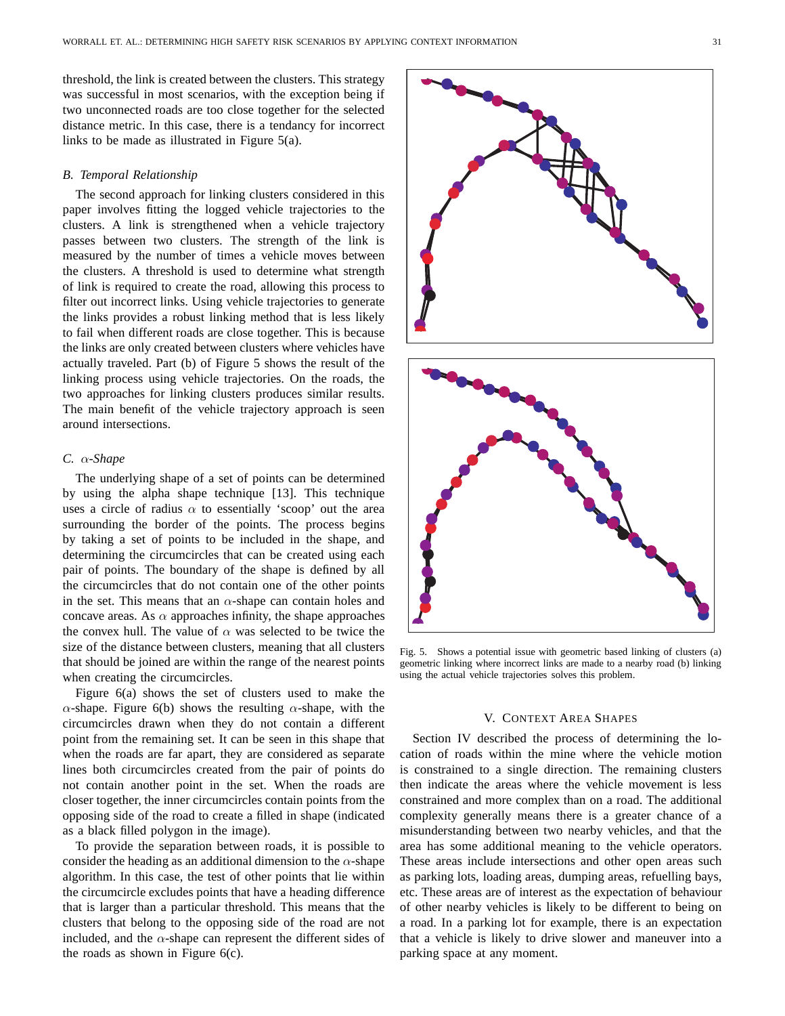threshold, the link is created between the clusters. This strategy was successful in most scenarios, with the exception being if two unconnected roads are too close together for the selected distance metric. In this case, there is a tendancy for incorrect links to be made as illustrated in Figure 5(a).

#### *B. Temporal Relationship*

The second approach for linking clusters considered in this paper involves fitting the logged vehicle trajectories to the clusters. A link is strengthened when a vehicle trajectory passes between two clusters. The strength of the link is measured by the number of times a vehicle moves between the clusters. A threshold is used to determine what strength of link is required to create the road, allowing this process to filter out incorrect links. Using vehicle trajectories to generate the links provides a robust linking method that is less likely to fail when different roads are close together. This is because the links are only created between clusters where vehicles have actually traveled. Part (b) of Figure 5 shows the result of the linking process using vehicle trajectories. On the roads, the two approaches for linking clusters produces similar results. The main benefit of the vehicle trajectory approach is seen around intersections.

### *C.* α*-Shape*

The underlying shape of a set of points can be determined by using the alpha shape technique [13]. This technique uses a circle of radius  $\alpha$  to essentially 'scoop' out the area surrounding the border of the points. The process begins by taking a set of points to be included in the shape, and determining the circumcircles that can be created using each pair of points. The boundary of the shape is defined by all the circumcircles that do not contain one of the other points in the set. This means that an  $\alpha$ -shape can contain holes and concave areas. As  $\alpha$  approaches infinity, the shape approaches the convex hull. The value of  $\alpha$  was selected to be twice the size of the distance between clusters, meaning that all clusters that should be joined are within the range of the nearest points when creating the circumcircles.

Figure 6(a) shows the set of clusters used to make the  $\alpha$ -shape. Figure 6(b) shows the resulting  $\alpha$ -shape, with the circumcircles drawn when they do not contain a different point from the remaining set. It can be seen in this shape that when the roads are far apart, they are considered as separate lines both circumcircles created from the pair of points do not contain another point in the set. When the roads are closer together, the inner circumcircles contain points from the opposing side of the road to create a filled in shape (indicated as a black filled polygon in the image).

To provide the separation between roads, it is possible to consider the heading as an additional dimension to the  $\alpha$ -shape algorithm. In this case, the test of other points that lie within the circumcircle excludes points that have a heading difference that is larger than a particular threshold. This means that the clusters that belong to the opposing side of the road are not included, and the  $\alpha$ -shape can represent the different sides of the roads as shown in Figure  $6(c)$ .



Fig. 5. Shows a potential issue with geometric based linking of clusters (a) geometric linking where incorrect links are made to a nearby road (b) linking using the actual vehicle trajectories solves this problem.

## V. CONTEXT AREA SHAPES

Section IV described the process of determining the location of roads within the mine where the vehicle motion is constrained to a single direction. The remaining clusters then indicate the areas where the vehicle movement is less constrained and more complex than on a road. The additional complexity generally means there is a greater chance of a misunderstanding between two nearby vehicles, and that the area has some additional meaning to the vehicle operators. These areas include intersections and other open areas such as parking lots, loading areas, dumping areas, refuelling bays, etc. These areas are of interest as the expectation of behaviour of other nearby vehicles is likely to be different to being on a road. In a parking lot for example, there is an expectation that a vehicle is likely to drive slower and maneuver into a parking space at any moment.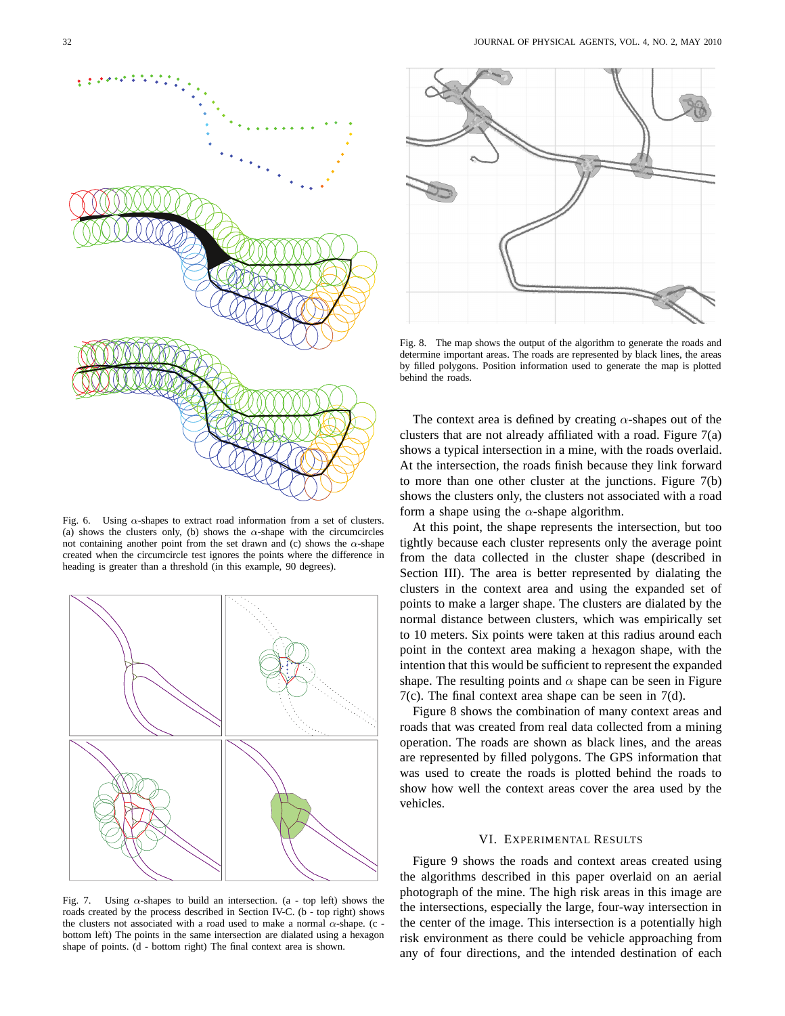

Fig. 6. Using  $\alpha$ -shapes to extract road information from a set of clusters. (a) shows the clusters only, (b) shows the  $\alpha$ -shape with the circumcircles not containing another point from the set drawn and (c) shows the  $\alpha$ -shape created when the circumcircle test ignores the points where the difference in heading is greater than a threshold (in this example, 90 degrees).



Fig. 7. Using  $\alpha$ -shapes to build an intersection. (a - top left) shows the roads created by the process described in Section IV-C. (b - top right) shows the clusters not associated with a road used to make a normal  $\alpha$ -shape. (c bottom left) The points in the same intersection are dialated using a hexagon shape of points. (d - bottom right) The final context area is shown.



Fig. 8. The map shows the output of the algorithm to generate the roads and determine important areas. The roads are represented by black lines, the areas by filled polygons. Position information used to generate the map is plotted behind the roads.

The context area is defined by creating  $\alpha$ -shapes out of the clusters that are not already affiliated with a road. Figure  $7(a)$ shows a typical intersection in a mine, with the roads overlaid. At the intersection, the roads finish because they link forward to more than one other cluster at the junctions. Figure 7(b) shows the clusters only, the clusters not associated with a road form a shape using the  $\alpha$ -shape algorithm.

At this point, the shape represents the intersection, but too tightly because each cluster represents only the average point from the data collected in the cluster shape (described in Section III). The area is better represented by dialating the clusters in the context area and using the expanded set of points to make a larger shape. The clusters are dialated by the normal distance between clusters, which was empirically set to 10 meters. Six points were taken at this radius around each point in the context area making a hexagon shape, with the intention that this would be sufficient to represent the expanded shape. The resulting points and  $\alpha$  shape can be seen in Figure 7(c). The final context area shape can be seen in 7(d).

Figure 8 shows the combination of many context areas and roads that was created from real data collected from a mining operation. The roads are shown as black lines, and the areas are represented by filled polygons. The GPS information that was used to create the roads is plotted behind the roads to show how well the context areas cover the area used by the vehicles.

## VI. EXPERIMENTAL RESULTS

Figure 9 shows the roads and context areas created using the algorithms described in this paper overlaid on an aerial photograph of the mine. The high risk areas in this image are the intersections, especially the large, four-way intersection in the center of the image. This intersection is a potentially high risk environment as there could be vehicle approaching from any of four directions, and the intended destination of each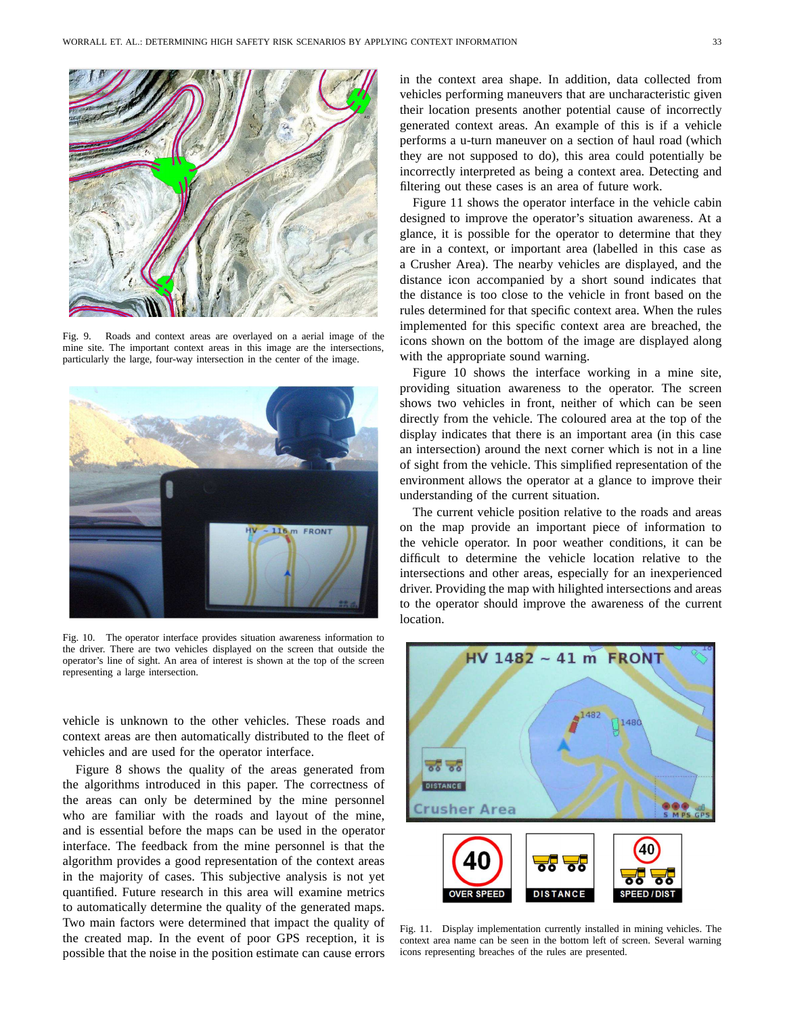

Fig. 9. Roads and context areas are overlayed on a aerial image of the mine site. The important context areas in this image are the intersections, particularly the large, four-way intersection in the center of the image.



Fig. 10. The operator interface provides situation awareness information to the driver. There are two vehicles displayed on the screen that outside the operator's line of sight. An area of interest is shown at the top of the screen representing a large intersection.

vehicle is unknown to the other vehicles. These roads and context areas are then automatically distributed to the fleet of vehicles and are used for the operator interface.

Figure 8 shows the quality of the areas generated from the algorithms introduced in this paper. The correctness of the areas can only be determined by the mine personnel who are familiar with the roads and layout of the mine, and is essential before the maps can be used in the operator interface. The feedback from the mine personnel is that the algorithm provides a good representation of the context areas in the majority of cases. This subjective analysis is not yet quantified. Future research in this area will examine metrics to automatically determine the quality of the generated maps. Two main factors were determined that impact the quality of the created map. In the event of poor GPS reception, it is possible that the noise in the position estimate can cause errors in the context area shape. In addition, data collected from vehicles performing maneuvers that are uncharacteristic given their location presents another potential cause of incorrectly generated context areas. An example of this is if a vehicle performs a u-turn maneuver on a section of haul road (which they are not supposed to do), this area could potentially be incorrectly interpreted as being a context area. Detecting and filtering out these cases is an area of future work.

Figure 11 shows the operator interface in the vehicle cabin designed to improve the operator's situation awareness. At a glance, it is possible for the operator to determine that they are in a context, or important area (labelled in this case as a Crusher Area). The nearby vehicles are displayed, and the distance icon accompanied by a short sound indicates that the distance is too close to the vehicle in front based on the rules determined for that specific context area. When the rules implemented for this specific context area are breached, the icons shown on the bottom of the image are displayed along with the appropriate sound warning.

Figure 10 shows the interface working in a mine site, providing situation awareness to the operator. The screen shows two vehicles in front, neither of which can be seen directly from the vehicle. The coloured area at the top of the display indicates that there is an important area (in this case an intersection) around the next corner which is not in a line of sight from the vehicle. This simplified representation of the environment allows the operator at a glance to improve their understanding of the current situation.

The current vehicle position relative to the roads and areas on the map provide an important piece of information to the vehicle operator. In poor weather conditions, it can be difficult to determine the vehicle location relative to the intersections and other areas, especially for an inexperienced driver. Providing the map with hilighted intersections and areas to the operator should improve the awareness of the current location.



Fig. 11. Display implementation currently installed in mining vehicles. The context area name can be seen in the bottom left of screen. Several warning icons representing breaches of the rules are presented.